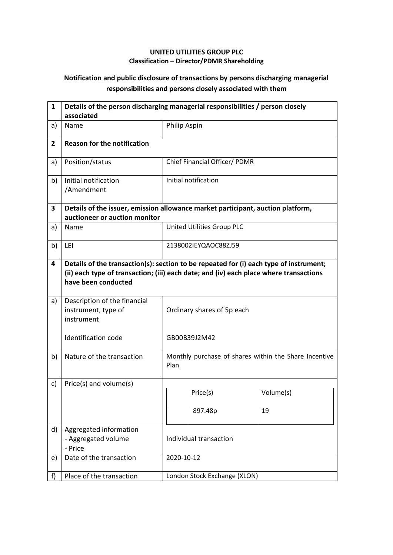## **UNITED UTILITIES GROUP PLC Classification – Director/PDMR Shareholding**

## **Notification and public disclosure of transactions by persons discharging managerial responsibilities and persons closely associated with them**

| $\mathbf{1}$   | Details of the person discharging managerial responsibilities / person closely<br>associated                                                                                                            |                            |                                                       |           |  |
|----------------|---------------------------------------------------------------------------------------------------------------------------------------------------------------------------------------------------------|----------------------------|-------------------------------------------------------|-----------|--|
| a)             | Name                                                                                                                                                                                                    |                            | Philip Aspin                                          |           |  |
| $\overline{2}$ | <b>Reason for the notification</b>                                                                                                                                                                      |                            |                                                       |           |  |
| a)             | Position/status                                                                                                                                                                                         |                            | Chief Financial Officer/ PDMR                         |           |  |
| b)             | Initial notification<br>/Amendment                                                                                                                                                                      |                            | Initial notification                                  |           |  |
| 3              | Details of the issuer, emission allowance market participant, auction platform,<br>auctioneer or auction monitor                                                                                        |                            |                                                       |           |  |
| a)             | Name                                                                                                                                                                                                    |                            | United Utilities Group PLC                            |           |  |
| b)             | LEI                                                                                                                                                                                                     |                            | 2138002IEYQAOC88ZJ59                                  |           |  |
| 4              | Details of the transaction(s): section to be repeated for (i) each type of instrument;<br>(ii) each type of transaction; (iii) each date; and (iv) each place where transactions<br>have been conducted |                            |                                                       |           |  |
| a)             | Description of the financial<br>instrument, type of<br>instrument                                                                                                                                       | Ordinary shares of 5p each |                                                       |           |  |
|                | Identification code                                                                                                                                                                                     |                            | GB00B39J2M42                                          |           |  |
| b)             | Nature of the transaction                                                                                                                                                                               | Plan                       | Monthly purchase of shares within the Share Incentive |           |  |
| c)             | Price(s) and volume(s)                                                                                                                                                                                  |                            |                                                       |           |  |
|                |                                                                                                                                                                                                         |                            | Price(s)                                              | Volume(s) |  |
|                |                                                                                                                                                                                                         |                            | 897.48p                                               | 19        |  |
| d)             | Aggregated information<br>- Aggregated volume<br>- Price                                                                                                                                                | Individual transaction     |                                                       |           |  |
| e)             | Date of the transaction                                                                                                                                                                                 | 2020-10-12                 |                                                       |           |  |
| f)             | Place of the transaction                                                                                                                                                                                |                            | London Stock Exchange (XLON)                          |           |  |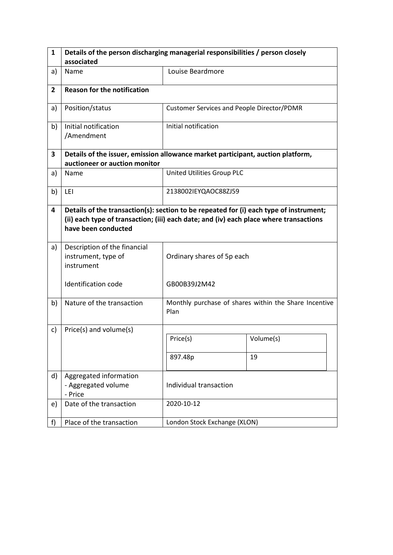| $\mathbf{1}$   | Details of the person discharging managerial responsibilities / person closely                                                                                                                          |                                                   |                                                       |  |
|----------------|---------------------------------------------------------------------------------------------------------------------------------------------------------------------------------------------------------|---------------------------------------------------|-------------------------------------------------------|--|
|                | associated                                                                                                                                                                                              |                                                   |                                                       |  |
| a)             | Name                                                                                                                                                                                                    | Louise Beardmore                                  |                                                       |  |
| $\overline{2}$ | <b>Reason for the notification</b>                                                                                                                                                                      |                                                   |                                                       |  |
| a)             | Position/status                                                                                                                                                                                         | <b>Customer Services and People Director/PDMR</b> |                                                       |  |
| b)             | Initial notification<br>/Amendment                                                                                                                                                                      | Initial notification                              |                                                       |  |
| 3              | Details of the issuer, emission allowance market participant, auction platform,                                                                                                                         |                                                   |                                                       |  |
|                | auctioneer or auction monitor                                                                                                                                                                           |                                                   |                                                       |  |
| a)             | Name                                                                                                                                                                                                    | United Utilities Group PLC                        |                                                       |  |
| b)             | LEI                                                                                                                                                                                                     | 2138002IEYQAOC88ZJ59                              |                                                       |  |
| 4              | Details of the transaction(s): section to be repeated for (i) each type of instrument;<br>(ii) each type of transaction; (iii) each date; and (iv) each place where transactions<br>have been conducted |                                                   |                                                       |  |
| a)             | Description of the financial<br>instrument, type of<br>instrument                                                                                                                                       | Ordinary shares of 5p each                        |                                                       |  |
|                | Identification code                                                                                                                                                                                     | GB00B39J2M42                                      |                                                       |  |
| b)             | Nature of the transaction                                                                                                                                                                               | Plan                                              | Monthly purchase of shares within the Share Incentive |  |
| c)             | Price(s) and volume(s)                                                                                                                                                                                  |                                                   |                                                       |  |
|                |                                                                                                                                                                                                         | Price(s)                                          | Volume(s)                                             |  |
|                |                                                                                                                                                                                                         | 897.48p                                           | 19                                                    |  |
| d)             | Aggregated information<br>- Aggregated volume<br>- Price                                                                                                                                                | Individual transaction                            |                                                       |  |
| e)             | Date of the transaction                                                                                                                                                                                 | 2020-10-12                                        |                                                       |  |
| f              | Place of the transaction                                                                                                                                                                                | London Stock Exchange (XLON)                      |                                                       |  |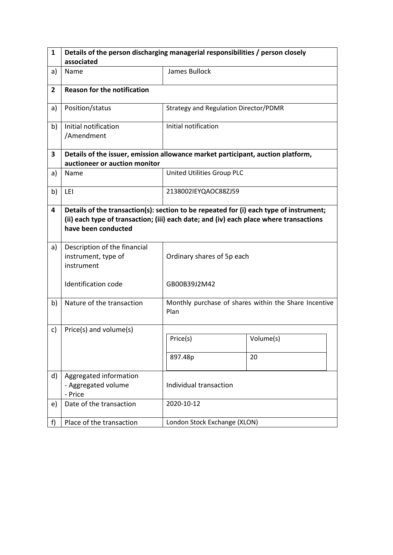| $\mathbf{1}$   | Details of the person discharging managerial responsibilities / person closely                                                                                                                          |                                       |                                                       |  |
|----------------|---------------------------------------------------------------------------------------------------------------------------------------------------------------------------------------------------------|---------------------------------------|-------------------------------------------------------|--|
|                | associated                                                                                                                                                                                              |                                       |                                                       |  |
| a)             | Name                                                                                                                                                                                                    | James Bullock                         |                                                       |  |
| $\overline{2}$ | <b>Reason for the notification</b>                                                                                                                                                                      |                                       |                                                       |  |
| a)             | Position/status                                                                                                                                                                                         | Strategy and Regulation Director/PDMR |                                                       |  |
| b)             | Initial notification<br>/Amendment                                                                                                                                                                      | Initial notification                  |                                                       |  |
| 3              | Details of the issuer, emission allowance market participant, auction platform,                                                                                                                         |                                       |                                                       |  |
|                | auctioneer or auction monitor                                                                                                                                                                           |                                       |                                                       |  |
| a)             | Name                                                                                                                                                                                                    | United Utilities Group PLC            |                                                       |  |
| b)             | LEI                                                                                                                                                                                                     | 2138002IEYQAOC88ZJ59                  |                                                       |  |
| 4              | Details of the transaction(s): section to be repeated for (i) each type of instrument;<br>(ii) each type of transaction; (iii) each date; and (iv) each place where transactions<br>have been conducted |                                       |                                                       |  |
| a)             | Description of the financial<br>instrument, type of<br>instrument                                                                                                                                       | Ordinary shares of 5p each            |                                                       |  |
|                | Identification code                                                                                                                                                                                     | GB00B39J2M42                          |                                                       |  |
| b)             | Nature of the transaction                                                                                                                                                                               | Plan                                  | Monthly purchase of shares within the Share Incentive |  |
| c)             | Price(s) and volume(s)                                                                                                                                                                                  |                                       |                                                       |  |
|                |                                                                                                                                                                                                         | Price(s)                              | Volume(s)                                             |  |
|                |                                                                                                                                                                                                         | 897.48p                               | 20                                                    |  |
| d)             | Aggregated information<br>- Aggregated volume<br>- Price                                                                                                                                                | Individual transaction                |                                                       |  |
| e)             | Date of the transaction                                                                                                                                                                                 | 2020-10-12                            |                                                       |  |
| f              | Place of the transaction                                                                                                                                                                                | London Stock Exchange (XLON)          |                                                       |  |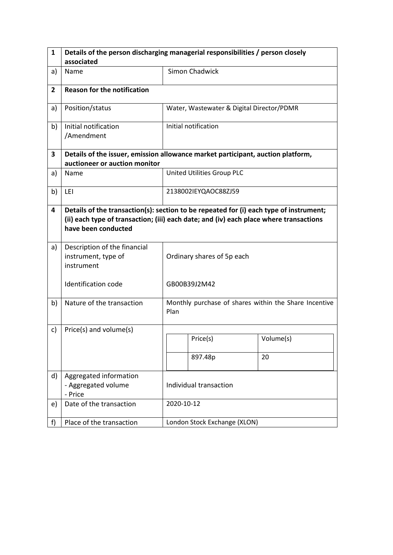| 1              | Details of the person discharging managerial responsibilities / person closely                                                                                                                          |                                                               |                                           |           |  |
|----------------|---------------------------------------------------------------------------------------------------------------------------------------------------------------------------------------------------------|---------------------------------------------------------------|-------------------------------------------|-----------|--|
|                | associated                                                                                                                                                                                              |                                                               |                                           |           |  |
| a)             | Name                                                                                                                                                                                                    |                                                               | Simon Chadwick                            |           |  |
| $\overline{2}$ | <b>Reason for the notification</b>                                                                                                                                                                      |                                                               |                                           |           |  |
| a)             | Position/status                                                                                                                                                                                         |                                                               | Water, Wastewater & Digital Director/PDMR |           |  |
| b)             | Initial notification<br>/Amendment                                                                                                                                                                      |                                                               | Initial notification                      |           |  |
| 3              | Details of the issuer, emission allowance market participant, auction platform,                                                                                                                         |                                                               |                                           |           |  |
|                | auctioneer or auction monitor                                                                                                                                                                           |                                                               |                                           |           |  |
| a)             | Name                                                                                                                                                                                                    |                                                               | United Utilities Group PLC                |           |  |
| b)             | LEI                                                                                                                                                                                                     |                                                               | 2138002IEYQAOC88ZJ59                      |           |  |
| 4              | Details of the transaction(s): section to be repeated for (i) each type of instrument;<br>(ii) each type of transaction; (iii) each date; and (iv) each place where transactions<br>have been conducted |                                                               |                                           |           |  |
| a)             | Description of the financial<br>instrument, type of<br>instrument                                                                                                                                       |                                                               | Ordinary shares of 5p each                |           |  |
|                | <b>Identification code</b>                                                                                                                                                                              | GB00B39J2M42                                                  |                                           |           |  |
| b)             | Nature of the transaction                                                                                                                                                                               | Monthly purchase of shares within the Share Incentive<br>Plan |                                           |           |  |
| c)             | Price(s) and volume(s)                                                                                                                                                                                  |                                                               |                                           |           |  |
|                |                                                                                                                                                                                                         |                                                               | Price(s)                                  | Volume(s) |  |
|                |                                                                                                                                                                                                         |                                                               | 897.48p                                   | 20        |  |
| d)             | Aggregated information<br>- Aggregated volume<br>- Price                                                                                                                                                | Individual transaction                                        |                                           |           |  |
| e)             | Date of the transaction                                                                                                                                                                                 | 2020-10-12                                                    |                                           |           |  |
| f)             | Place of the transaction                                                                                                                                                                                |                                                               | London Stock Exchange (XLON)              |           |  |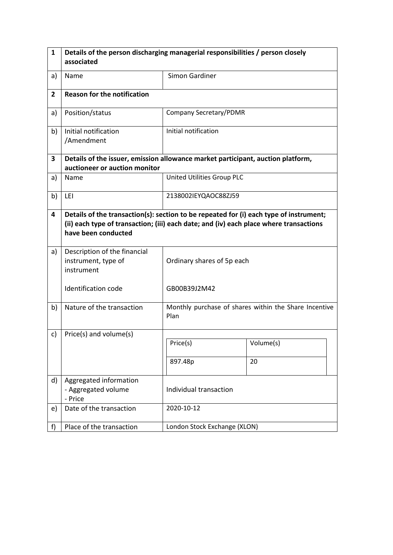| $\mathbf{1}$   | Details of the person discharging managerial responsibilities / person closely<br>associated                                                                                                            |                              |                                                       |  |  |
|----------------|---------------------------------------------------------------------------------------------------------------------------------------------------------------------------------------------------------|------------------------------|-------------------------------------------------------|--|--|
| a)             | Name                                                                                                                                                                                                    | Simon Gardiner               |                                                       |  |  |
| $\overline{2}$ | <b>Reason for the notification</b>                                                                                                                                                                      |                              |                                                       |  |  |
| a)             | Position/status                                                                                                                                                                                         |                              | Company Secretary/PDMR                                |  |  |
| b)             | Initial notification<br>/Amendment                                                                                                                                                                      | Initial notification         |                                                       |  |  |
| 3              | Details of the issuer, emission allowance market participant, auction platform,<br>auctioneer or auction monitor                                                                                        |                              |                                                       |  |  |
| a)             | Name                                                                                                                                                                                                    | United Utilities Group PLC   |                                                       |  |  |
| b)             | LEI                                                                                                                                                                                                     | 2138002IEYQAOC88ZJ59         |                                                       |  |  |
| 4              | Details of the transaction(s): section to be repeated for (i) each type of instrument;<br>(ii) each type of transaction; (iii) each date; and (iv) each place where transactions<br>have been conducted |                              |                                                       |  |  |
| a)             | Description of the financial<br>instrument, type of<br>instrument                                                                                                                                       | Ordinary shares of 5p each   |                                                       |  |  |
|                | Identification code                                                                                                                                                                                     | GB00B39J2M42                 |                                                       |  |  |
| b)             | Nature of the transaction                                                                                                                                                                               | Plan                         | Monthly purchase of shares within the Share Incentive |  |  |
| c)             | Price(s) and volume(s)                                                                                                                                                                                  | Price(s)                     | Volume(s)                                             |  |  |
|                |                                                                                                                                                                                                         | 897.48p                      | 20                                                    |  |  |
|                |                                                                                                                                                                                                         |                              |                                                       |  |  |
| d)             | Aggregated information<br>- Aggregated volume<br>- Price                                                                                                                                                | Individual transaction       |                                                       |  |  |
| e)             | Date of the transaction                                                                                                                                                                                 | 2020-10-12                   |                                                       |  |  |
| f)             | Place of the transaction                                                                                                                                                                                | London Stock Exchange (XLON) |                                                       |  |  |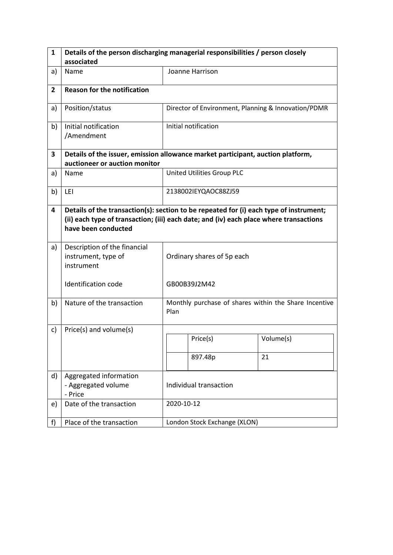| 1              | Details of the person discharging managerial responsibilities / person closely                                                                                                                          |                                                               |                            |                                                     |  |
|----------------|---------------------------------------------------------------------------------------------------------------------------------------------------------------------------------------------------------|---------------------------------------------------------------|----------------------------|-----------------------------------------------------|--|
|                | associated                                                                                                                                                                                              |                                                               |                            |                                                     |  |
| a)             | Name                                                                                                                                                                                                    |                                                               | Joanne Harrison            |                                                     |  |
| $\overline{2}$ | <b>Reason for the notification</b>                                                                                                                                                                      |                                                               |                            |                                                     |  |
| a)             | Position/status                                                                                                                                                                                         |                                                               |                            | Director of Environment, Planning & Innovation/PDMR |  |
| b)             | Initial notification<br>/Amendment                                                                                                                                                                      |                                                               | Initial notification       |                                                     |  |
| 3              | Details of the issuer, emission allowance market participant, auction platform,                                                                                                                         |                                                               |                            |                                                     |  |
|                | auctioneer or auction monitor                                                                                                                                                                           |                                                               |                            |                                                     |  |
| a)             | Name                                                                                                                                                                                                    |                                                               | United Utilities Group PLC |                                                     |  |
| b)             | LEI                                                                                                                                                                                                     |                                                               | 2138002IEYQAOC88ZJ59       |                                                     |  |
| 4              | Details of the transaction(s): section to be repeated for (i) each type of instrument;<br>(ii) each type of transaction; (iii) each date; and (iv) each place where transactions<br>have been conducted |                                                               |                            |                                                     |  |
| a)             | Description of the financial<br>instrument, type of<br>instrument                                                                                                                                       | Ordinary shares of 5p each                                    |                            |                                                     |  |
|                | <b>Identification code</b>                                                                                                                                                                              | GB00B39J2M42                                                  |                            |                                                     |  |
| b)             | Nature of the transaction                                                                                                                                                                               | Monthly purchase of shares within the Share Incentive<br>Plan |                            |                                                     |  |
| c)             | Price(s) and volume(s)                                                                                                                                                                                  |                                                               |                            |                                                     |  |
|                |                                                                                                                                                                                                         |                                                               | Price(s)                   | Volume(s)                                           |  |
|                |                                                                                                                                                                                                         |                                                               | 897.48p                    | 21                                                  |  |
| d)             | Aggregated information<br>- Aggregated volume<br>- Price                                                                                                                                                | Individual transaction                                        |                            |                                                     |  |
| e)             | Date of the transaction                                                                                                                                                                                 | 2020-10-12                                                    |                            |                                                     |  |
| f)             | Place of the transaction                                                                                                                                                                                | London Stock Exchange (XLON)                                  |                            |                                                     |  |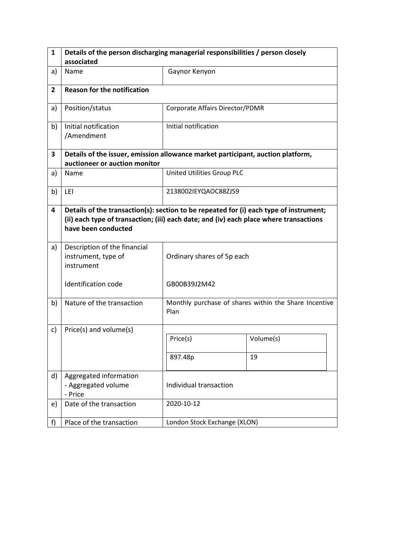| $\mathbf{1}$   | Details of the person discharging managerial responsibilities / person closely                                                                                                                          |                                 |                                                       |  |
|----------------|---------------------------------------------------------------------------------------------------------------------------------------------------------------------------------------------------------|---------------------------------|-------------------------------------------------------|--|
|                | associated                                                                                                                                                                                              |                                 |                                                       |  |
| a)             | Name                                                                                                                                                                                                    | Gaynor Kenyon                   |                                                       |  |
| $\overline{2}$ | <b>Reason for the notification</b>                                                                                                                                                                      |                                 |                                                       |  |
| a)             | Position/status                                                                                                                                                                                         | Corporate Affairs Director/PDMR |                                                       |  |
| b)             | Initial notification<br>/Amendment                                                                                                                                                                      | Initial notification            |                                                       |  |
| 3              | Details of the issuer, emission allowance market participant, auction platform,                                                                                                                         |                                 |                                                       |  |
|                | auctioneer or auction monitor                                                                                                                                                                           |                                 |                                                       |  |
| a)             | Name                                                                                                                                                                                                    | United Utilities Group PLC      |                                                       |  |
| b)             | LEI                                                                                                                                                                                                     | 2138002IEYQAOC88ZJ59            |                                                       |  |
| 4              | Details of the transaction(s): section to be repeated for (i) each type of instrument;<br>(ii) each type of transaction; (iii) each date; and (iv) each place where transactions<br>have been conducted |                                 |                                                       |  |
| a)             | Description of the financial<br>instrument, type of<br>instrument                                                                                                                                       | Ordinary shares of 5p each      |                                                       |  |
|                | Identification code                                                                                                                                                                                     | GB00B39J2M42                    |                                                       |  |
| b)             | Nature of the transaction                                                                                                                                                                               | Plan                            | Monthly purchase of shares within the Share Incentive |  |
| c)             | Price(s) and volume(s)                                                                                                                                                                                  |                                 |                                                       |  |
|                |                                                                                                                                                                                                         | Price(s)                        | Volume(s)                                             |  |
|                |                                                                                                                                                                                                         | 897.48p                         | 19                                                    |  |
| d)             | Aggregated information<br>- Aggregated volume<br>- Price                                                                                                                                                | Individual transaction          |                                                       |  |
| e)             | Date of the transaction                                                                                                                                                                                 | 2020-10-12                      |                                                       |  |
| f              | Place of the transaction                                                                                                                                                                                | London Stock Exchange (XLON)    |                                                       |  |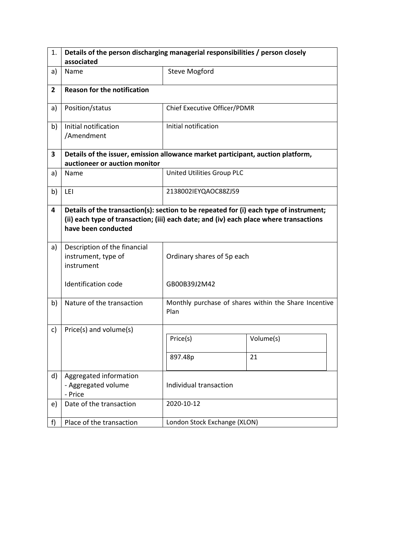| 1.             | Details of the person discharging managerial responsibilities / person closely                                                                                                                          |                              |                                                       |  |
|----------------|---------------------------------------------------------------------------------------------------------------------------------------------------------------------------------------------------------|------------------------------|-------------------------------------------------------|--|
|                | associated                                                                                                                                                                                              |                              |                                                       |  |
| a)             | Name                                                                                                                                                                                                    | <b>Steve Mogford</b>         |                                                       |  |
| $\overline{2}$ | <b>Reason for the notification</b>                                                                                                                                                                      |                              |                                                       |  |
| a)             | Position/status                                                                                                                                                                                         | Chief Executive Officer/PDMR |                                                       |  |
| b)             | Initial notification<br>/Amendment                                                                                                                                                                      | Initial notification         |                                                       |  |
| 3              | Details of the issuer, emission allowance market participant, auction platform,                                                                                                                         |                              |                                                       |  |
|                | auctioneer or auction monitor                                                                                                                                                                           |                              |                                                       |  |
| a)             | Name                                                                                                                                                                                                    | United Utilities Group PLC   |                                                       |  |
| b)             | LEI                                                                                                                                                                                                     | 2138002IEYQAOC88ZJ59         |                                                       |  |
| 4              | Details of the transaction(s): section to be repeated for (i) each type of instrument;<br>(ii) each type of transaction; (iii) each date; and (iv) each place where transactions<br>have been conducted |                              |                                                       |  |
| a)             | Description of the financial<br>instrument, type of<br>instrument                                                                                                                                       | Ordinary shares of 5p each   |                                                       |  |
|                | Identification code                                                                                                                                                                                     | GB00B39J2M42                 |                                                       |  |
| b)             | Nature of the transaction                                                                                                                                                                               | Plan                         | Monthly purchase of shares within the Share Incentive |  |
| c)             | Price(s) and volume(s)                                                                                                                                                                                  |                              |                                                       |  |
|                |                                                                                                                                                                                                         | Price(s)                     | Volume(s)                                             |  |
|                |                                                                                                                                                                                                         | 897.48p                      | 21                                                    |  |
| d)             | Aggregated information<br>- Aggregated volume<br>- Price                                                                                                                                                | Individual transaction       |                                                       |  |
| e)             | Date of the transaction                                                                                                                                                                                 | 2020-10-12                   |                                                       |  |
| f              | Place of the transaction                                                                                                                                                                                | London Stock Exchange (XLON) |                                                       |  |